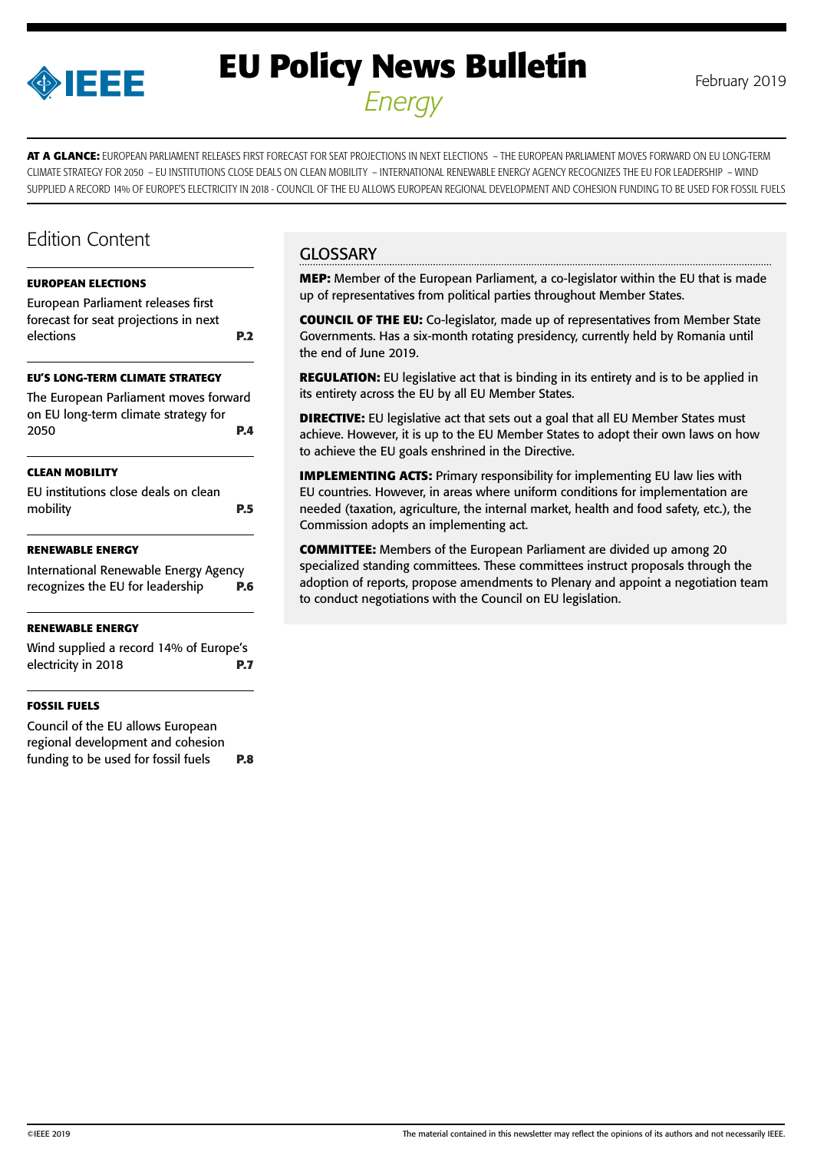

# **EU Policy News Bulletin** February 2019 *Energy*

**AT A GLANCE:** EUROPEAN PARLIAMENT RELEASES FIRST FORECAST FOR SEAT PROJECTIONS IN NEXT ELECTIONS – THE EUROPEAN PARLIAMENT MOVES FORWARD ON EU LONG-TERM CLIMATE STRATEGY FOR 2050 – EU INSTITUTIONS CLOSE DEALS ON CLEAN MOBILITY – INTERNATIONAL RENEWABLE ENERGY AGENCY RECOGNIZES THE EU FOR LEADERSHIP – WIND SUPPLIED A RECORD 14% OF EUROPE'S ELECTRICITY IN 2018 - COUNCIL OF THE EU ALLOWS EUROPEAN REGIONAL DEVELOPMENT AND COHESION FUNDING TO BE USED FOR FOSSIL FUELS

## Edition Content

#### **[EUROPEAN ELECTIONS](#page-1-0)**

[European Parliament releases first](#page-1-0)  [forecast for seat projections in next](#page-1-0)  [elections](#page-1-0) **P.2**

#### **[EU'S LONG-TERM CLIMATE STRATEGY](#page-3-0)**

[The European Parliament moves forward](#page-3-0)  [on EU long-term climate strategy for](#page-3-0)  [2050](#page-3-0) **P.4**

#### **[CLEAN MOBILITY](#page-4-0)**

[EU institutions close deals on clean](#page-4-0)  [mobility](#page-4-0) **P.5**

#### **[RENEWABLE ENERGY](#page-5-0)**

[International Renewable Energy Agency](#page-5-0)  [recognizes the EU for leadership](#page-5-0) **P.6**

#### **[RENEWABLE ENERGY](#page-6-0)**

[Wind supplied a record 14% of Europe's](#page-6-0)  [electricity in 2018](#page-6-0) **P.7**

#### **[FOSSIL FUELS](#page-7-0)**

[Council of the EU allows European](#page-7-0)  [regional development and cohesion](#page-7-0)  [funding to be used for fossil fuels](#page-7-0) **P.8**

## **GLOSSARY**

**MEP:** Member of the European Parliament, a co-legislator within the EU that is made up of representatives from political parties throughout Member States.

**COUNCIL OF THE EU:** Co-legislator, made up of representatives from Member State Governments. Has a six-month rotating presidency, currently held by Romania until the end of June 2019.

**REGULATION:** EU legislative act that is binding in its entirety and is to be applied in its entirety across the EU by all EU Member States.

**DIRECTIVE:** EU legislative act that sets out a goal that all EU Member States must achieve. However, it is up to the EU Member States to adopt their own laws on how to achieve the EU goals enshrined in the Directive.

**IMPLEMENTING ACTS:** Primary responsibility for implementing EU law lies with EU countries. However, in areas where uniform conditions for implementation are needed (taxation, agriculture, the internal market, health and food safety, etc.), the Commission adopts an implementing act.

**COMMITTEE:** Members of the European Parliament are divided up among 20 specialized standing committees. These committees instruct proposals through the adoption of reports, propose amendments to Plenary and appoint a negotiation team to conduct negotiations with the Council on EU legislation.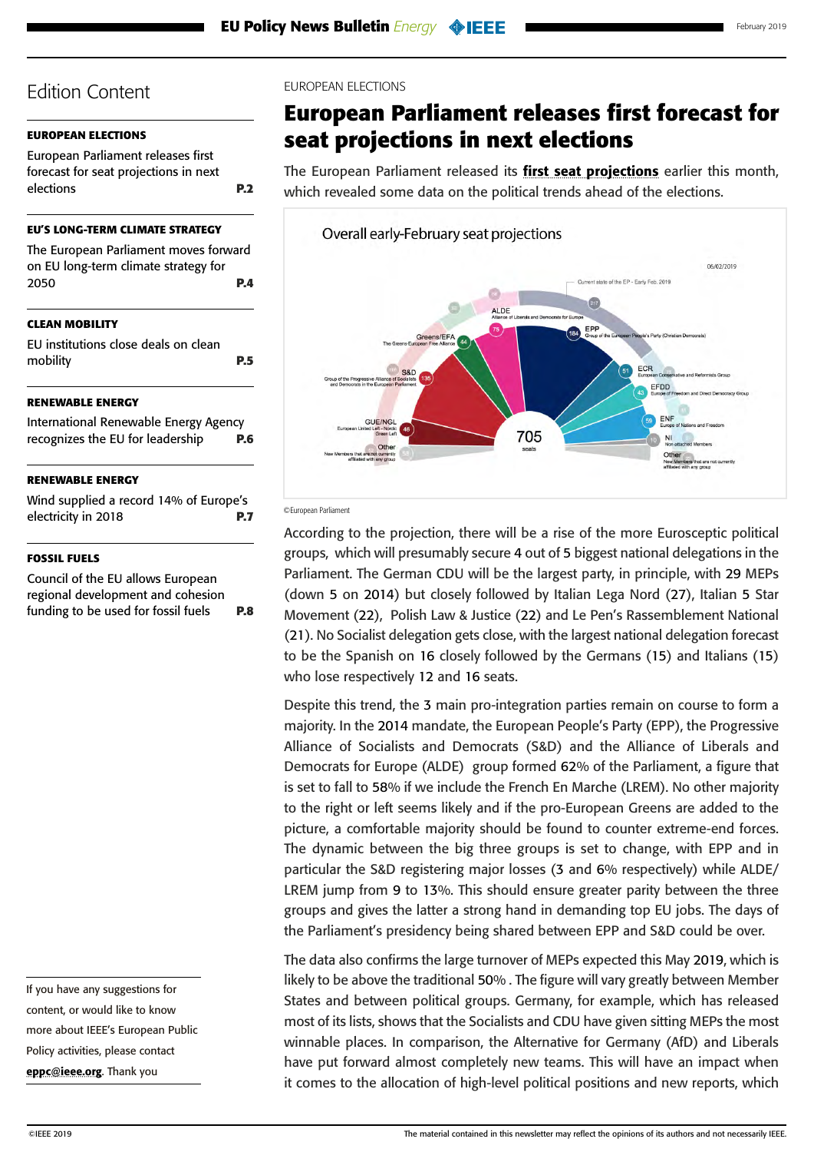### <span id="page-1-0"></span>**EUROPEAN ELECTIONS**

European Parliament releases first forecast for seat projections in next elections **P.2**

#### **[EU'S LONG-TERM CLIMATE STRATEGY](#page-3-0)**

| The European Parliament moves forward |  |
|---------------------------------------|--|
| on EU long-term climate strategy for  |  |
| <b>P.4</b><br>2050                    |  |
|                                       |  |

## **[CLEAN MOBILITY](#page-4-0)**

[EU institutions close deals on clean](#page-4-0)  [mobility](#page-4-0) **P.5**

#### **[RENEWABLE ENERGY](#page-5-0)**

[International Renewable Energy Agency](#page-5-0)  [recognizes the EU for leadership](#page-5-0) **P.6**

#### **[RENEWABLE ENERGY](#page-6-0)**

[Wind supplied a record 14% of Europe's](#page-6-0)  [electricity in 2018](#page-6-0) **P.7**

#### **[FOSSIL FUELS](#page-7-0)**

[Council of the EU allows European](#page-7-0)  [regional development and cohesion](#page-7-0)  [funding to be used for fossil fuels](#page-7-0) **P.8**

If you have any suggestions for content, or would like to know more about IEEE's European Public Policy activities, please contact [eppc@ieee.org](mailto:eppc%40ieee.org?subject=). Thank you

#### EUROPEAN ELECTIONS

## **European Parliament releases first forecast for seat projections in next elections**

The European Parliament released its [first seat projections](http://www.europarl.europa.eu/at-your-service/files/be-heard/eurobarometer/2019/political-landscape-developments/en-ee19-national-report-18february-2019.pdf) earlier this month, which revealed some data on the political trends ahead of the elections.



#### ©European Parliament

According to the projection, there will be a rise of the more Eurosceptic political groups, which will presumably secure 4 out of 5 biggest national delegations in the Parliament. The German CDU will be the largest party, in principle, with 29 MEPs (down 5 on 2014) but closely followed by Italian Lega Nord (27), Italian 5 Star Movement (22), Polish Law & Justice (22) and Le Pen's Rassemblement National (21). No Socialist delegation gets close, with the largest national delegation forecast to be the Spanish on 16 closely followed by the Germans (15) and Italians (15) who lose respectively 12 and 16 seats.

Despite this trend, the 3 main pro-integration parties remain on course to form a majority. In the 2014 mandate, the European People's Party (EPP), the Progressive Alliance of Socialists and Democrats (S&D) and the Alliance of Liberals and Democrats for Europe (ALDE) group formed 62% of the Parliament, a figure that is set to fall to 58% if we include the French En Marche (LREM). No other majority to the right or left seems likely and if the pro-European Greens are added to the picture, a comfortable majority should be found to counter extreme-end forces. The dynamic between the big three groups is set to change, with EPP and in particular the S&D registering major losses (3 and 6% respectively) while ALDE/ LREM jump from 9 to 13%. This should ensure greater parity between the three groups and gives the latter a strong hand in demanding top EU jobs. The days of the Parliament's presidency being shared between EPP and S&D could be over.

The data also confirms the large turnover of MEPs expected this May 2019, which is likely to be above the traditional 50% . The figure will vary greatly between Member States and between political groups. Germany, for example, which has released most of its lists, shows that the Socialists and CDU have given sitting MEPs the most winnable places. In comparison, the Alternative for Germany (AfD) and Liberals have put forward almost completely new teams. This will have an impact when it comes to the allocation of high-level political positions and new reports, which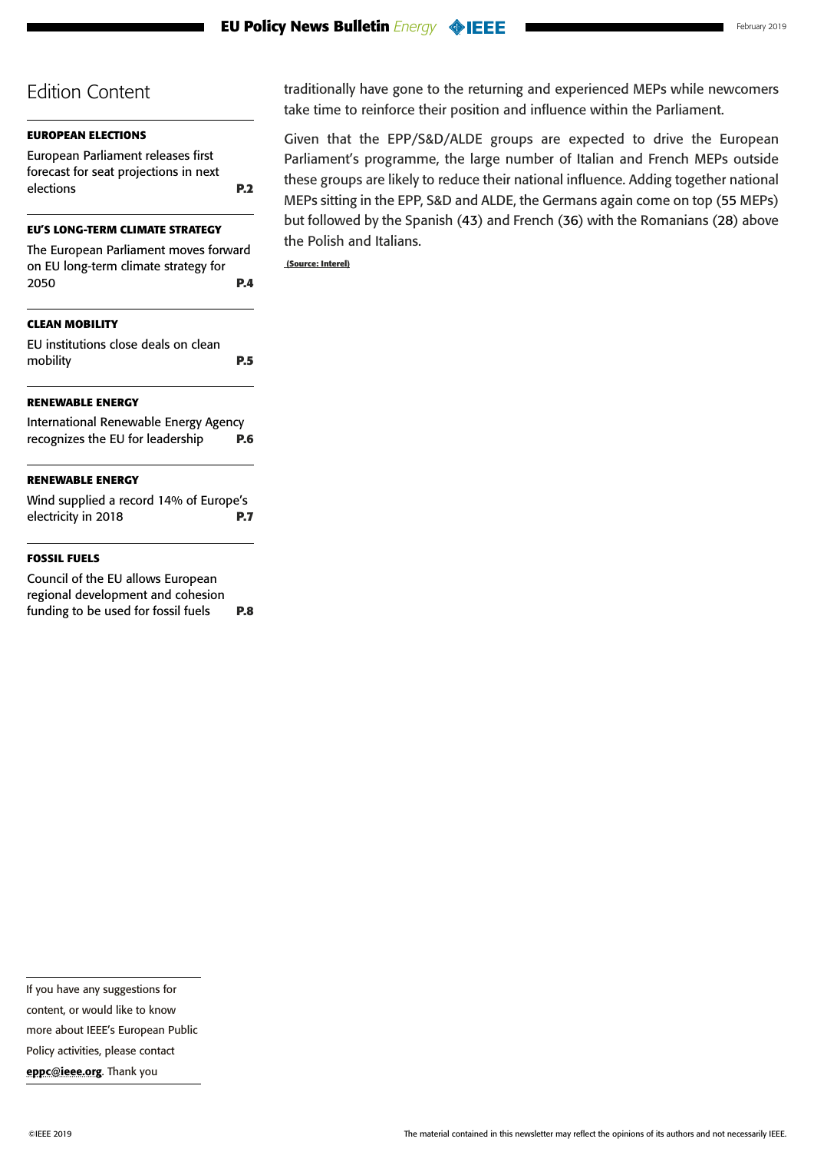## **[EUROPEAN ELECTIONS](#page-1-0)**

[European Parliament releases first](#page-1-0)  [forecast for seat projections in next](#page-1-0)  [elections](#page-1-0) **P.2**

#### **[EU'S LONG-TERM CLIMATE STRATEGY](#page-3-0)**

| The European Parliament moves forward |
|---------------------------------------|
| on EU long-term climate strategy for  |
| 2050<br>P.4                           |
|                                       |
|                                       |

## **[CLEAN MOBILITY](#page-4-0)**

[EU institutions close deals on clean](#page-4-0)  [mobility](#page-4-0) **P.5**

## **[RENEWABLE ENERGY](#page-5-0)**

| International Renewable Energy Agency |            |
|---------------------------------------|------------|
| recognizes the EU for leadership      | <b>P.6</b> |

## **[RENEWABLE ENERGY](#page-6-0)**

[Wind supplied a record 14% of Europe's](#page-6-0)  [electricity in 2018](#page-6-0) **P.7**

#### **[FOSSIL FUELS](#page-7-0)**

[Council of the EU allows European](#page-7-0)  [regional development and cohesion](#page-7-0)  [funding to be used for fossil fuels](#page-7-0) **P.8** traditionally have gone to the returning and experienced MEPs while newcomers take time to reinforce their position and influence within the Parliament.

Given that the EPP/S&D/ALDE groups are expected to drive the European Parliament's programme, the large number of Italian and French MEPs outside these groups are likely to reduce their national influence. Adding together national MEPs sitting in the EPP, S&D and ALDE, the Germans again come on top (55 MEPs) but followed by the Spanish (43) and French (36) with the Romanians (28) above the Polish and Italians.

 **(Source: Interel)**

content, or would like to know

more about IEEE's European Public

Policy activities, please contact

[eppc@ieee.org](mailto:eppc%40ieee.org?subject=). Thank you

If you have any suggestions for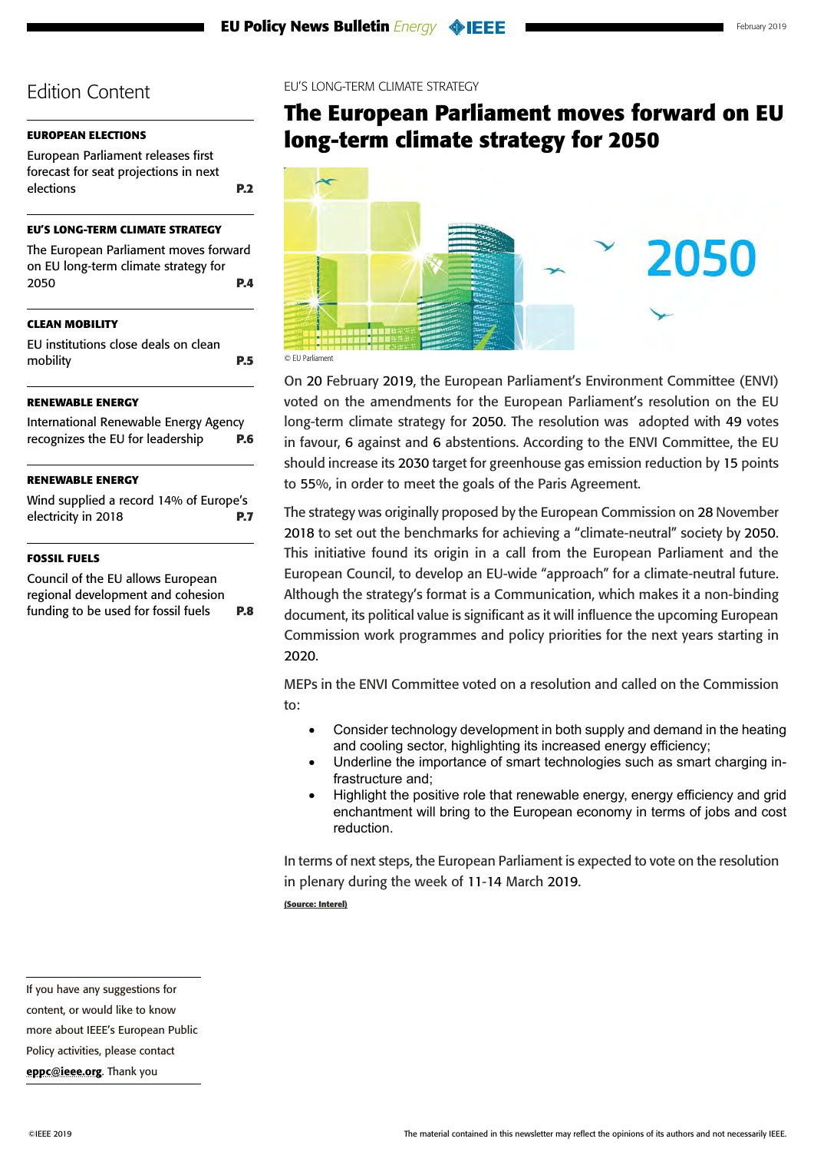## <span id="page-3-0"></span>**[EUROPEAN ELECTIONS](#page-1-0)**

[European Parliament releases first](#page-1-0)  [forecast for seat projections in next](#page-1-0)  [elections](#page-1-0) **P.2**

### **EU'S LONG-TERM CLIMATE STRATEGY**

| The European Parliament moves forward |            |
|---------------------------------------|------------|
| on EU long-term climate strategy for  |            |
| 2050                                  | <b>P.4</b> |

## **[CLEAN MOBILITY](#page-4-0)**

| EU institutions close deals on clean |            |
|--------------------------------------|------------|
| mobility                             | <b>P.5</b> |

## **[RENEWABLE ENERGY](#page-5-0)**

[International Renewable Energy Agency](#page-5-0)  [recognizes the EU for leadership](#page-5-0) **P.6**

## **[RENEWABLE ENERGY](#page-6-0)**

[Wind supplied a record 14% of Europe's](#page-6-0)  [electricity in 2018](#page-6-0) **P.7**

#### **[FOSSIL FUELS](#page-7-0)**

[Council of the EU allows European](#page-7-0)  [regional development and cohesion](#page-7-0)  [funding to be used for fossil fuels](#page-7-0) **P.8**

#### EU'S LONG-TERM CLIMATE STRATEGY

## **The European Parliament moves forward on EU long-term climate strategy for 2050**



On 20 February 2019, the European Parliament's Environment Committee (ENVI) voted on the amendments for the European Parliament's resolution on the EU long-term climate strategy for 2050. The resolution was adopted with 49 votes in favour, 6 against and 6 abstentions. According to the ENVI Committee, the EU should increase its 2030 target for greenhouse gas emission reduction by 15 points to 55%, in order to meet the goals of the Paris Agreement.

The strategy was originally proposed by the European Commission on 28 November 2018 to set out the benchmarks for achieving a "climate-neutral" society by 2050. This initiative found its origin in a call from the European Parliament and the European Council, to develop an EU-wide "approach" for a climate-neutral future. Although the strategy's format is a Communication, which makes it a non-binding document, its political value is significant as it will influence the upcoming European Commission work programmes and policy priorities for the next years starting in 2020.

MEPs in the ENVI Committee voted on a resolution and called on the Commission to:

- Consider technology development in both supply and demand in the heating and cooling sector, highlighting its increased energy efficiency;
- • Underline the importance of smart technologies such as smart charging infrastructure and;
- Highlight the positive role that renewable energy, energy efficiency and grid enchantment will bring to the European economy in terms of jobs and cost reduction.

In terms of next steps, the European Parliament is expected to vote on the resolution in plenary during the week of 11-14 March 2019.

**(Source: Interel)**

If you have any suggestions for

content, or would like to know

more about IEEE's European Public

Policy activities, please contact

[eppc@ieee.org](mailto:eppc%40ieee.org?subject=). Thank you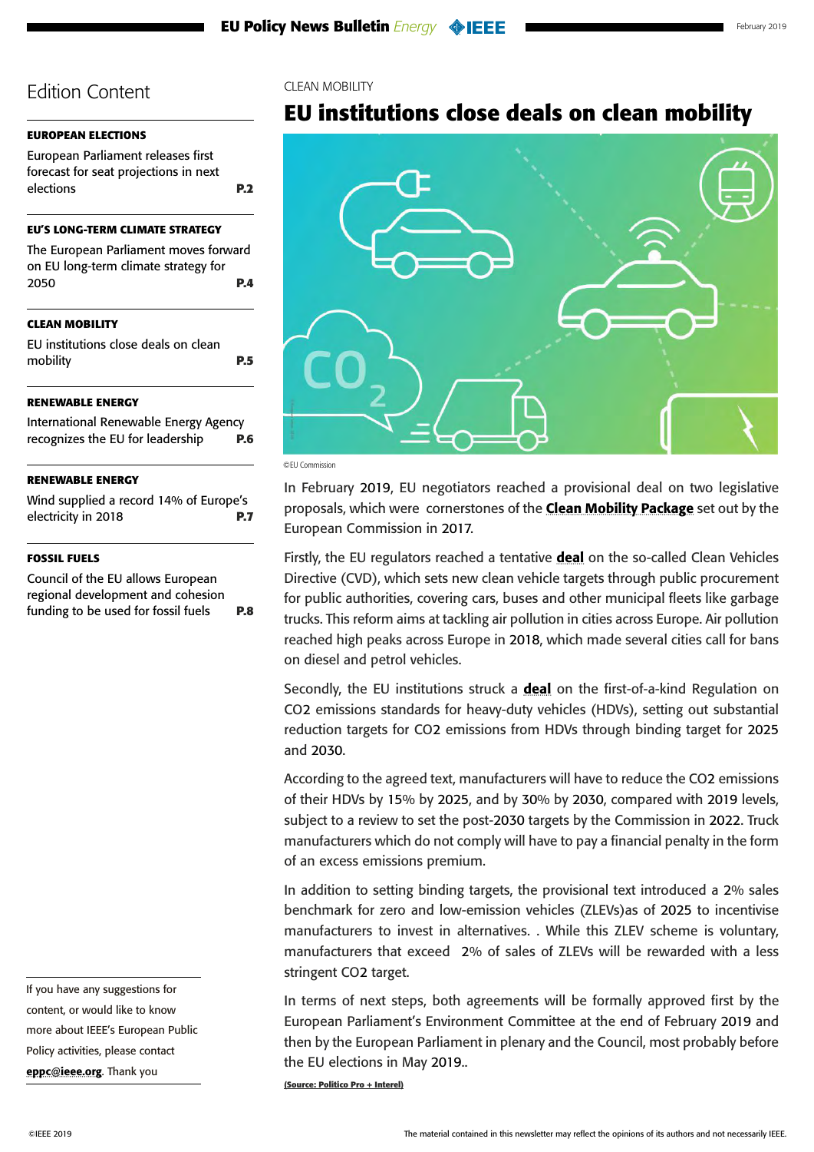### <span id="page-4-0"></span>**[EUROPEAN ELECTIONS](#page-1-0)**

[European Parliament releases first](#page-1-0)  [forecast for seat projections in next](#page-1-0)  [elections](#page-1-0) **P.2**

#### **[EU'S LONG-TERM CLIMATE STRATEGY](#page-3-0)**

| The European Parliament moves forward |            |
|---------------------------------------|------------|
| on EU long-term climate strategy for  |            |
| 2050                                  | <b>P.4</b> |

### **CLEAN MOBILITY**

EU institutions close deals on clean mobility **P.5**

### **[RENEWABLE ENERGY](#page-5-0)**

[International Renewable Energy Agency](#page-5-0)  [recognizes the EU for leadership](#page-5-0) **P.6**

#### **[RENEWABLE ENERGY](#page-6-0)**

[Wind supplied a record 14% of Europe's](#page-6-0)  [electricity in 2018](#page-6-0) **P.7**

#### **[FOSSIL FUELS](#page-7-0)**

[Council of the EU allows European](#page-7-0)  [regional development and cohesion](#page-7-0)  [funding to be used for fossil fuels](#page-7-0) **P.8**

If you have any suggestions for content, or would like to know more about IEEE's European Public Policy activities, please contact [eppc@ieee.org](mailto:eppc%40ieee.org?subject=). Thank you

#### CLEAN MOBILITY

## **EU institutions close deals on clean mobility**



©EU Commission

In February 2019, EU negotiators reached a provisional deal on two legislative proposals, which were cornerstones of the **[Clean Mobility Package](https://ec.europa.eu/transport/modes/road/news/2017-11-08-driving-clean-mobility_en)** set out by the European Commission in 2017.

Firstly, the EU regulators reached a tentative [deal](https://twitter.com/ro2019eu/status/1095025522139152387) on the so-called Clean Vehicles Directive (CVD), which sets new clean vehicle targets through public procurement for public authorities, covering cars, buses and other municipal fleets like garbage trucks. This reform aims at tackling air pollution in cities across Europe. Air pollution reached high peaks across Europe in 2018, which made several cities call for bans on diesel and petrol vehicles.

Secondly, the EU institutions struck a **[deal](https://data.consilium.europa.eu/doc/document/ST-6398-2019-EXT-1/en/pdf)** on the first-of-a-kind Regulation on CO2 emissions standards for heavy-duty vehicles (HDVs), setting out substantial reduction targets for CO2 emissions from HDVs through binding target for 2025 and 2030.

According to the agreed text, manufacturers will have to reduce the CO2 emissions of their HDVs by 15% by 2025, and by 30% by 2030, compared with 2019 levels, subject to a review to set the post-2030 targets by the Commission in 2022. Truck manufacturers which do not comply will have to pay a financial penalty in the form of an excess emissions premium.

In addition to setting binding targets, the provisional text introduced a 2% sales benchmark for zero and low-emission vehicles (ZLEVs)as of 2025 to incentivise manufacturers to invest in alternatives. . While this ZLEV scheme is voluntary, manufacturers that exceed 2% of sales of ZLEVs will be rewarded with a less stringent CO2 target.

In terms of next steps, both agreements will be formally approved first by the European Parliament's Environment Committee at the end of February 2019 and then by the European Parliament in plenary and the Council, most probably before the EU elections in May 2019..

**(Source: Politico Pro + Interel)**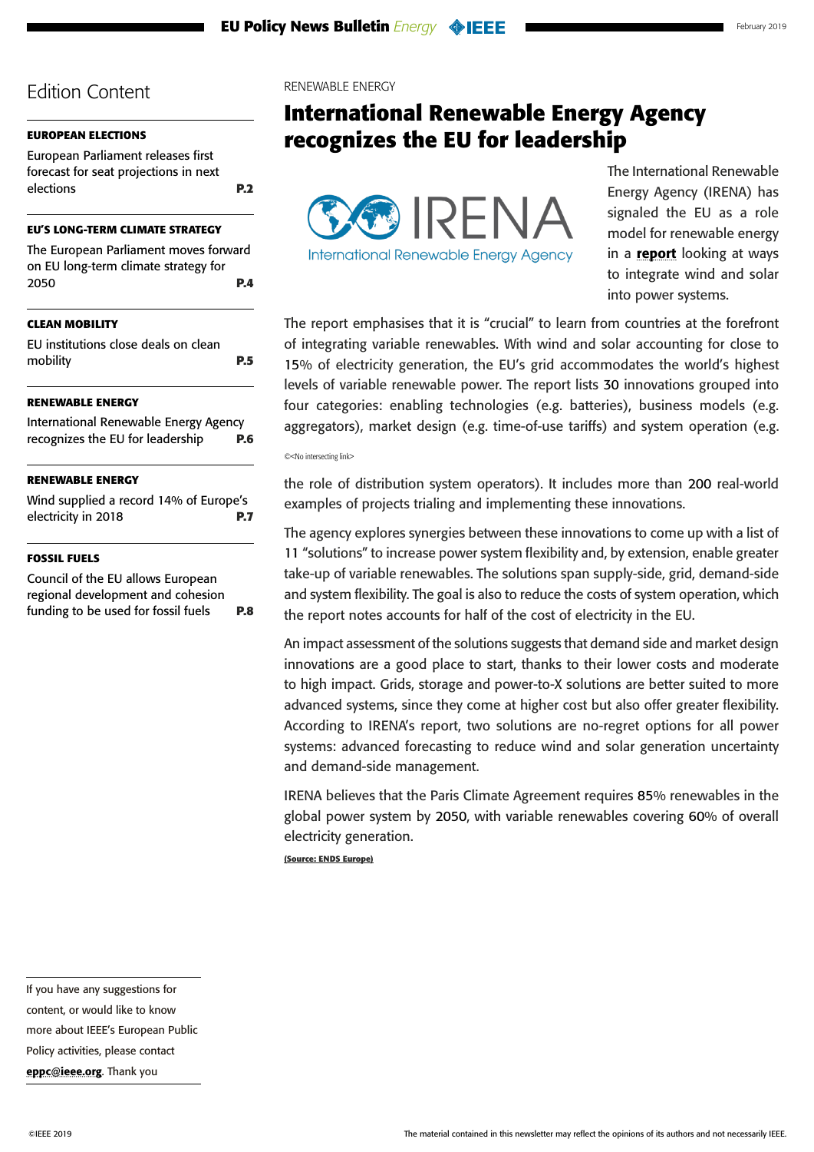## <span id="page-5-0"></span>**[EUROPEAN ELECTIONS](#page-1-0)**

[European Parliament releases first](#page-1-0)  [forecast for seat projections in next](#page-1-0)  [elections](#page-1-0) **P.2**

### **[EU'S LONG-TERM CLIMATE STRATEGY](#page-3-0)**

[The European Parliament moves forward](#page-3-0)  [on EU long-term climate strategy for](#page-3-0)  [2050](#page-3-0) **P.4**

## **[CLEAN MOBILITY](#page-4-0)**

[EU institutions close deals on clean](#page-4-0)  [mobility](#page-4-0) **P.5**

## **RENEWABLE ENERGY**

International Renewable Energy Agency recognizes the EU for leadership **P.6**

## **[RENEWABLE ENERGY](#page-6-0)**

[Wind supplied a record 14% of Europe's](#page-6-0)  [electricity in 2018](#page-6-0) **P.7**

#### **[FOSSIL FUELS](#page-7-0)**

[Council of the EU allows European](#page-7-0)  [regional development and cohesion](#page-7-0)  [funding to be used for fossil fuels](#page-7-0) **P.8** RENEWABLE ENERGY

## **International Renewable Energy Agency recognizes the EU for leadership**



**International Renewable Energy Agency** 

The International Renewable Energy Agency (IRENA) has signaled the EU as a role model for renewable energy in a [report](https://cms.irena.org/-/media/Files/IRENA/Agency/Publication/2019/Feb/IRENA_Innovation_Landscape_2019_report.ashx) looking at ways to integrate wind and solar into power systems.

The report emphasises that it is "crucial" to learn from countries at the forefront of integrating variable renewables. With wind and solar accounting for close to 15% of electricity generation, the EU's grid accommodates the world's highest levels of variable renewable power. The report lists 30 innovations grouped into four categories: enabling technologies (e.g. batteries), business models (e.g. aggregators), market design (e.g. time-of-use tariffs) and system operation (e.g.

©<No intersecting link>

the role of distribution system operators). It includes more than 200 real-world examples of projects trialing and implementing these innovations.

The agency explores synergies between these innovations to come up with a list of 11 "solutions" to increase power system flexibility and, by extension, enable greater take-up of variable renewables. The solutions span supply-side, grid, demand-side and system flexibility. The goal is also to reduce the costs of system operation, which the report notes accounts for half of the cost of electricity in the EU.

An impact assessment of the solutions suggests that demand side and market design innovations are a good place to start, thanks to their lower costs and moderate to high impact. Grids, storage and power-to-X solutions are better suited to more advanced systems, since they come at higher cost but also offer greater flexibility. According to IRENA's report, two solutions are no-regret options for all power systems: advanced forecasting to reduce wind and solar generation uncertainty and demand-side management.

IRENA believes that the Paris Climate Agreement requires 85% renewables in the global power system by 2050, with variable renewables covering 60% of overall electricity generation.

**(Source: ENDS Europe)**

If you have any suggestions for content, or would like to know more about IEEE's European Public Policy activities, please contact [eppc@ieee.org](mailto:eppc%40ieee.org?subject=). Thank you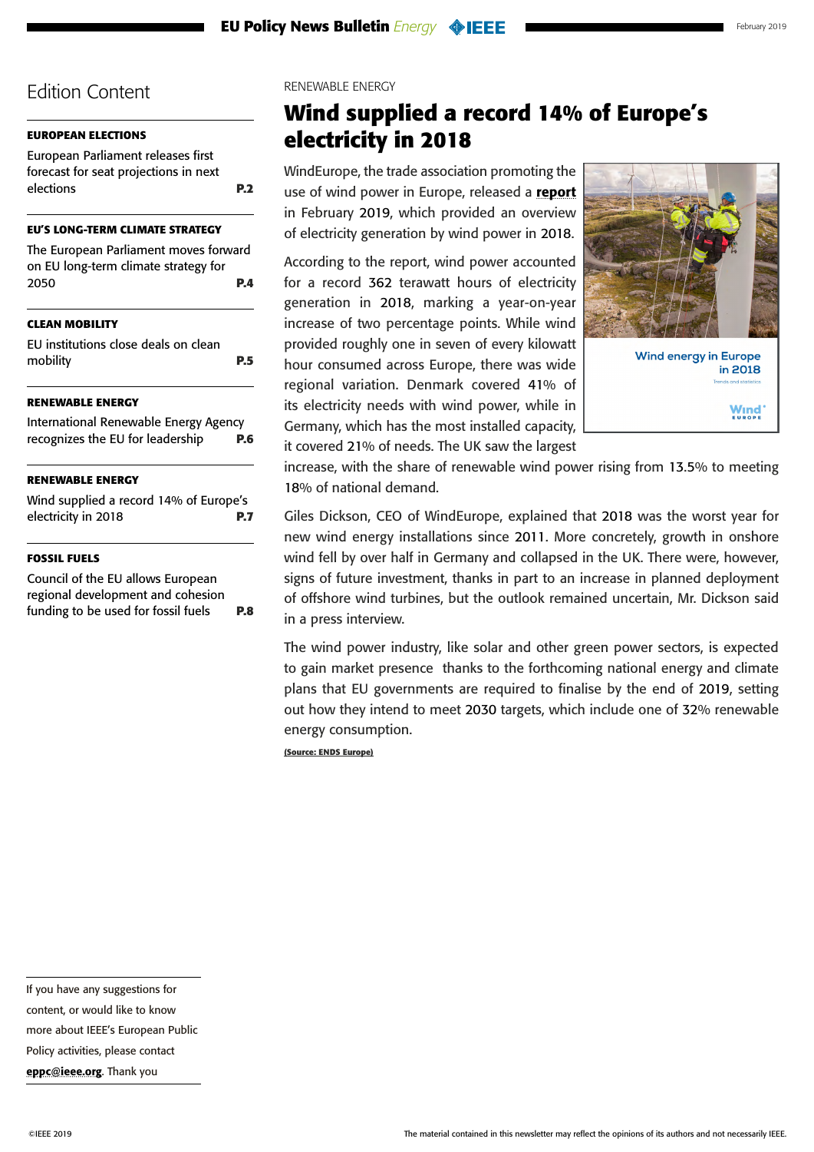## <span id="page-6-0"></span>**[EUROPEAN ELECTIONS](#page-1-0)**

[European Parliament releases first](#page-1-0)  [forecast for seat projections in next](#page-1-0)  [elections](#page-1-0) **P.2**

### **[EU'S LONG-TERM CLIMATE STRATEGY](#page-3-0)**

[The European Parliament moves forward](#page-3-0)  [on EU long-term climate strategy for](#page-3-0)  [2050](#page-3-0) **P.4**

## **[CLEAN MOBILITY](#page-4-0)**

[EU institutions close deals on clean](#page-4-0)  [mobility](#page-4-0) **P.5**

### **[RENEWABLE ENERGY](#page-5-0)**

[International Renewable Energy Agency](#page-5-0)  [recognizes the EU for leadership](#page-5-0) **P.6**

### **RENEWABLE ENERGY**

Wind supplied a record 14% of Europe's electricity in 2018 **P.7**

#### **[FOSSIL FUELS](#page-7-0)**

[Council of the EU allows European](#page-7-0)  [regional development and cohesion](#page-7-0)  [funding to be used for fossil fuels](#page-7-0) **P.8**

#### RENEWABLE ENERGY

## **Wind supplied a record 14% of Europe's electricity in 2018**

WindEurope, the trade association promoting the use of wind power in Europe, released a [report](https://windeurope.org/wp-content/uploads/files/about-wind/statistics/WindEurope-Annual-Statistics-2018.pdf) in February 2019, which provided an overview of electricity generation by wind power in 2018.

According to the report, wind power accounted for a record 362 terawatt hours of electricity generation in 2018, marking a year-on-year increase of two percentage points. While wind provided roughly one in seven of every kilowatt hour consumed across Europe, there was wide regional variation. Denmark covered 41% of its electricity needs with wind power, while in Germany, which has the most installed capacity, it covered 21% of needs. The UK saw the largest



increase, with the share of renewable wind power rising from 13.5% to meeting 18% of national demand.

Giles Dickson, CEO of WindEurope, explained that 2018 was the worst year for new wind energy installations since 2011. More concretely, growth in onshore wind fell by over half in Germany and collapsed in the UK. There were, however, signs of future investment, thanks in part to an increase in planned deployment of offshore wind turbines, but the outlook remained uncertain, Mr. Dickson said in a press interview.

The wind power industry, like solar and other green power sectors, is expected to gain market presence thanks to the forthcoming national energy and climate plans that EU governments are required to finalise by the end of 2019, setting out how they intend to meet 2030 targets, which include one of 32% renewable energy consumption.

**(Source: ENDS Europe)**

If you have any suggestions for

content, or would like to know

more about IEEE's European Public

Policy activities, please contact

[eppc@ieee.org](mailto:eppc%40ieee.org?subject=). Thank you